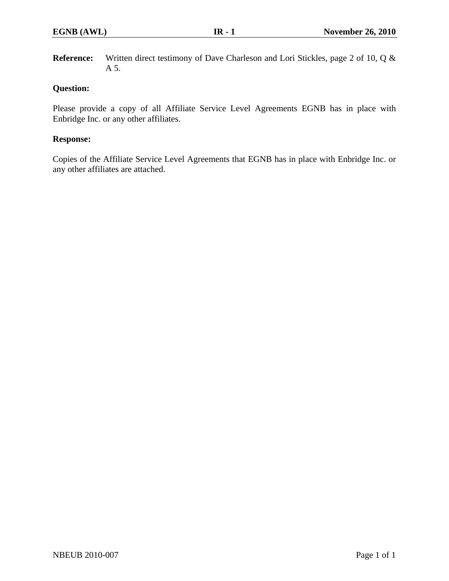**Reference:** Written direct testimony of Dave Charleson and Lori Stickles, page 2 of 10, Q & A 5.

# **Question:**

Please provide a copy of all Affiliate Service Level Agreements EGNB has in place with Enbridge Inc. or any other affiliates.

# **Response:**

Copies of the Affiliate Service Level Agreements that EGNB has in place with Enbridge Inc. or any other affiliates are attached.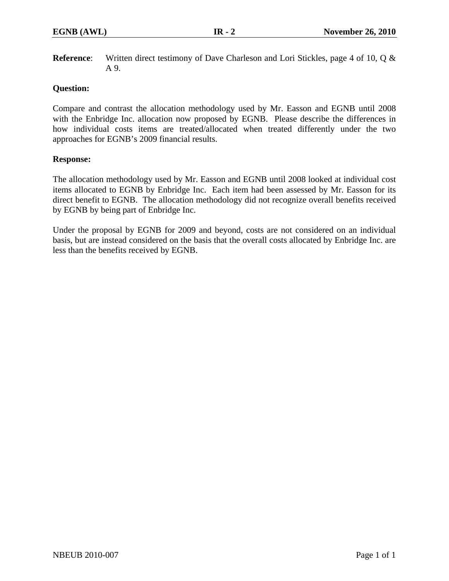**Reference**: Written direct testimony of Dave Charleson and Lori Stickles, page 4 of 10, Q & A 9.

## **Question:**

Compare and contrast the allocation methodology used by Mr. Easson and EGNB until 2008 with the Enbridge Inc. allocation now proposed by EGNB. Please describe the differences in how individual costs items are treated/allocated when treated differently under the two approaches for EGNB's 2009 financial results.

### **Response:**

The allocation methodology used by Mr. Easson and EGNB until 2008 looked at individual cost items allocated to EGNB by Enbridge Inc. Each item had been assessed by Mr. Easson for its direct benefit to EGNB. The allocation methodology did not recognize overall benefits received by EGNB by being part of Enbridge Inc.

Under the proposal by EGNB for 2009 and beyond, costs are not considered on an individual basis, but are instead considered on the basis that the overall costs allocated by Enbridge Inc. are less than the benefits received by EGNB.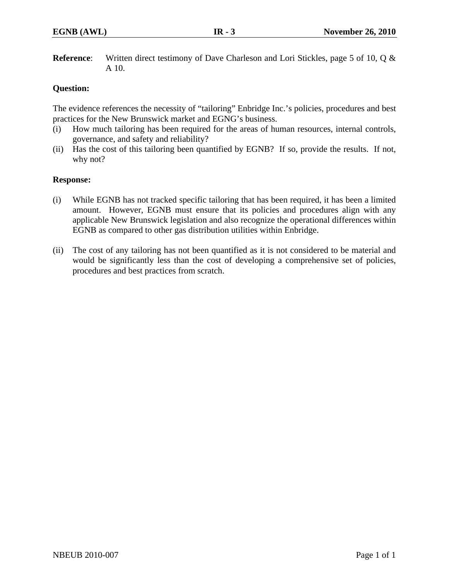**Reference**: Written direct testimony of Dave Charleson and Lori Stickles, page 5 of 10, Q & A 10.

# **Question:**

The evidence references the necessity of "tailoring" Enbridge Inc.'s policies, procedures and best practices for the New Brunswick market and EGNG's business.

- (i) How much tailoring has been required for the areas of human resources, internal controls, governance, and safety and reliability?
- (ii) Has the cost of this tailoring been quantified by EGNB? If so, provide the results. If not, why not?

### **Response:**

- (i) While EGNB has not tracked specific tailoring that has been required, it has been a limited amount. However, EGNB must ensure that its policies and procedures align with any applicable New Brunswick legislation and also recognize the operational differences within EGNB as compared to other gas distribution utilities within Enbridge.
- (ii) The cost of any tailoring has not been quantified as it is not considered to be material and would be significantly less than the cost of developing a comprehensive set of policies, procedures and best practices from scratch.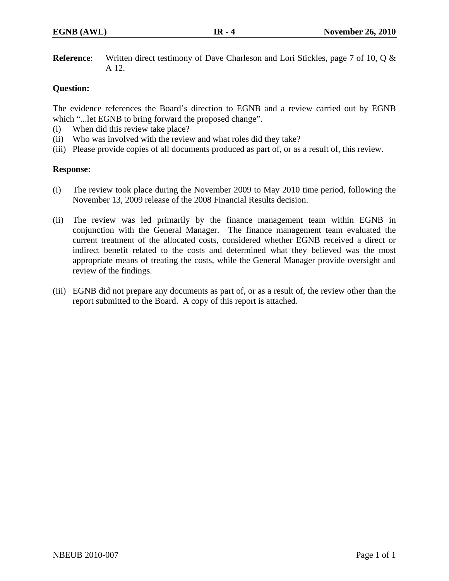**Reference**: Written direct testimony of Dave Charleson and Lori Stickles, page 7 of 10, Q & A 12.

# **Question:**

The evidence references the Board's direction to EGNB and a review carried out by EGNB which "...let EGNB to bring forward the proposed change".

- (i) When did this review take place?
- (ii) Who was involved with the review and what roles did they take?
- (iii) Please provide copies of all documents produced as part of, or as a result of, this review.

# **Response:**

- (i) The review took place during the November 2009 to May 2010 time period, following the November 13, 2009 release of the 2008 Financial Results decision.
- (ii) The review was led primarily by the finance management team within EGNB in conjunction with the General Manager. The finance management team evaluated the current treatment of the allocated costs, considered whether EGNB received a direct or indirect benefit related to the costs and determined what they believed was the most appropriate means of treating the costs, while the General Manager provide oversight and review of the findings.
- (iii) EGNB did not prepare any documents as part of, or as a result of, the review other than the report submitted to the Board. A copy of this report is attached.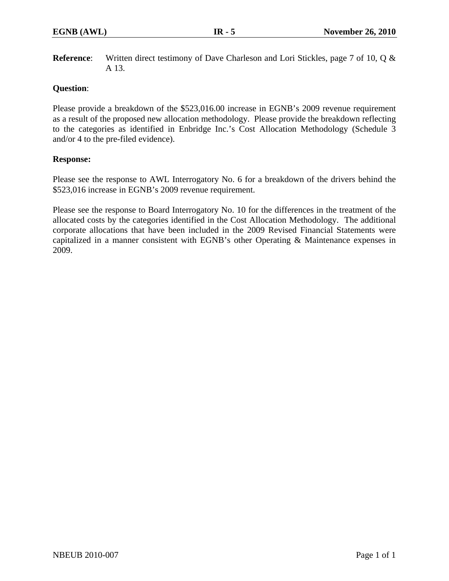**Reference**: Written direct testimony of Dave Charleson and Lori Stickles, page 7 of 10, Q & A 13.

# **Question**:

Please provide a breakdown of the \$523,016.00 increase in EGNB's 2009 revenue requirement as a result of the proposed new allocation methodology. Please provide the breakdown reflecting to the categories as identified in Enbridge Inc.'s Cost Allocation Methodology (Schedule 3 and/or 4 to the pre-filed evidence).

### **Response:**

Please see the response to AWL Interrogatory No. 6 for a breakdown of the drivers behind the \$523,016 increase in EGNB's 2009 revenue requirement.

Please see the response to Board Interrogatory No. 10 for the differences in the treatment of the allocated costs by the categories identified in the Cost Allocation Methodology. The additional corporate allocations that have been included in the 2009 Revised Financial Statements were capitalized in a manner consistent with EGNB's other Operating & Maintenance expenses in 2009.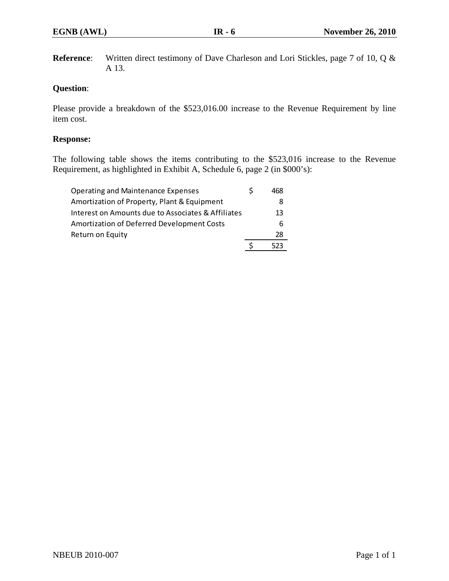**Reference**: Written direct testimony of Dave Charleson and Lori Stickles, page 7 of 10, Q & A 13.

# **Question**:

Please provide a breakdown of the \$523,016.00 increase to the Revenue Requirement by line item cost.

### **Response:**

The following table shows the items contributing to the \$523,016 increase to the Revenue Requirement, as highlighted in Exhibit A, Schedule 6, page 2 (in \$000's):

| Amortization of Property, Plant & Equipment<br>Interest on Amounts due to Associates & Affiliates | 8<br>13 |
|---------------------------------------------------------------------------------------------------|---------|
| Amortization of Deferred Development Costs                                                        | 6       |
| Return on Equity                                                                                  | 28      |
|                                                                                                   | 523     |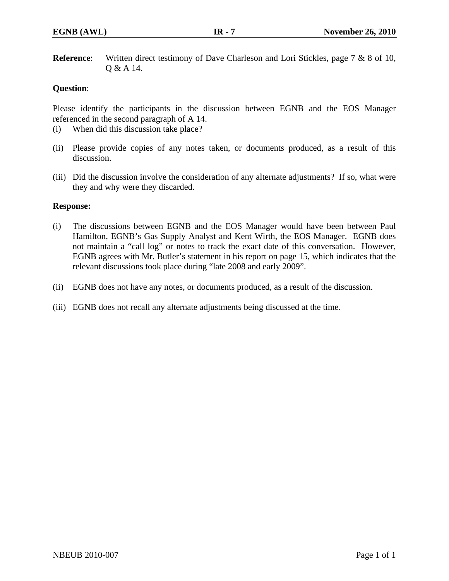**Reference**: Written direct testimony of Dave Charleson and Lori Stickles, page 7 & 8 of 10, Q & A 14.

# **Question**:

Please identify the participants in the discussion between EGNB and the EOS Manager referenced in the second paragraph of A 14.

- (i) When did this discussion take place?
- (ii) Please provide copies of any notes taken, or documents produced, as a result of this discussion.
- (iii) Did the discussion involve the consideration of any alternate adjustments? If so, what were they and why were they discarded.

### **Response:**

- (i) The discussions between EGNB and the EOS Manager would have been between Paul Hamilton, EGNB's Gas Supply Analyst and Kent Wirth, the EOS Manager. EGNB does not maintain a "call log" or notes to track the exact date of this conversation. However, EGNB agrees with Mr. Butler's statement in his report on page 15, which indicates that the relevant discussions took place during "late 2008 and early 2009".
- (ii) EGNB does not have any notes, or documents produced, as a result of the discussion.
- (iii) EGNB does not recall any alternate adjustments being discussed at the time.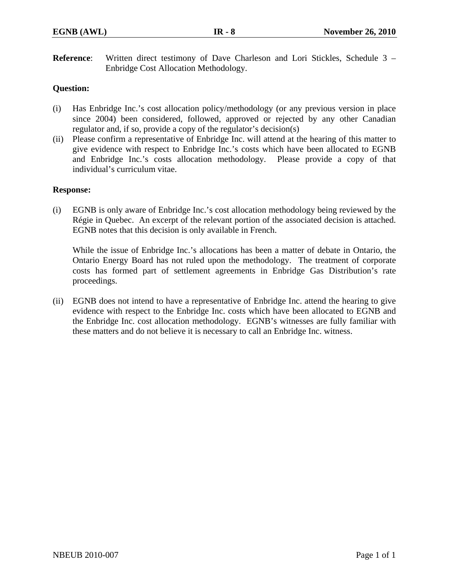**Reference**: Written direct testimony of Dave Charleson and Lori Stickles, Schedule 3 – Enbridge Cost Allocation Methodology.

# **Question:**

- (i) Has Enbridge Inc.'s cost allocation policy/methodology (or any previous version in place since 2004) been considered, followed, approved or rejected by any other Canadian regulator and, if so, provide a copy of the regulator's decision(s)
- (ii) Please confirm a representative of Enbridge Inc. will attend at the hearing of this matter to give evidence with respect to Enbridge Inc.'s costs which have been allocated to EGNB and Enbridge Inc.'s costs allocation methodology. Please provide a copy of that individual's curriculum vitae.

#### **Response:**

(i) EGNB is only aware of Enbridge Inc.'s cost allocation methodology being reviewed by the Régie in Quebec. An excerpt of the relevant portion of the associated decision is attached. EGNB notes that this decision is only available in French.

While the issue of Enbridge Inc.'s allocations has been a matter of debate in Ontario, the Ontario Energy Board has not ruled upon the methodology. The treatment of corporate costs has formed part of settlement agreements in Enbridge Gas Distribution's rate proceedings.

(ii) EGNB does not intend to have a representative of Enbridge Inc. attend the hearing to give evidence with respect to the Enbridge Inc. costs which have been allocated to EGNB and the Enbridge Inc. cost allocation methodology. EGNB's witnesses are fully familiar with these matters and do not believe it is necessary to call an Enbridge Inc. witness.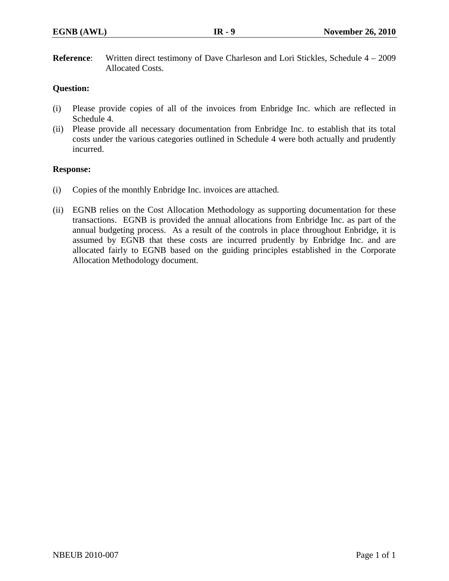**Reference:** Written direct testimony of Dave Charleson and Lori Stickles, Schedule 4 – 2009 Allocated Costs.

# **Question:**

- (i) Please provide copies of all of the invoices from Enbridge Inc. which are reflected in Schedule 4.
- (ii) Please provide all necessary documentation from Enbridge Inc. to establish that its total costs under the various categories outlined in Schedule 4 were both actually and prudently incurred.

### **Response:**

- (i) Copies of the monthly Enbridge Inc. invoices are attached.
- (ii) EGNB relies on the Cost Allocation Methodology as supporting documentation for these transactions. EGNB is provided the annual allocations from Enbridge Inc. as part of the annual budgeting process. As a result of the controls in place throughout Enbridge, it is assumed by EGNB that these costs are incurred prudently by Enbridge Inc. and are allocated fairly to EGNB based on the guiding principles established in the Corporate Allocation Methodology document.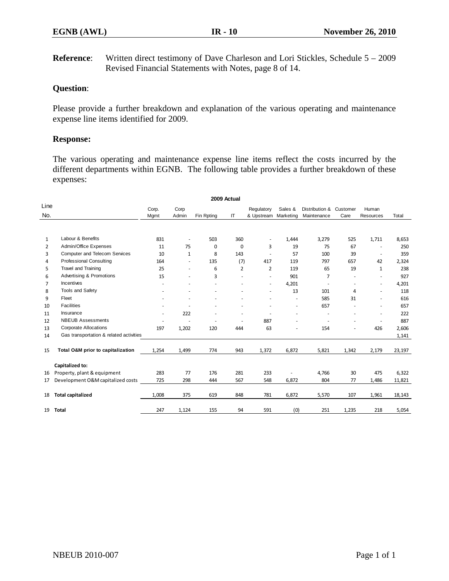**Reference:** Written direct testimony of Dave Charleson and Lori Stickles, Schedule 5 – 2009 Revised Financial Statements with Notes, page 8 of 14.

## **Question**:

Please provide a further breakdown and explanation of the various operating and maintenance expense line items identified for 2009.

#### **Response:**

The various operating and maintenance expense line items reflect the costs incurred by the different departments within EGNB. The following table provides a further breakdown of these expenses:

|                | 2009 Actual                             |                |              |            |     |                          |         |                |          |                          |        |
|----------------|-----------------------------------------|----------------|--------------|------------|-----|--------------------------|---------|----------------|----------|--------------------------|--------|
| Line           |                                         | Corp.          | Corp         |            |     | Regulatory               | Sales & | Distribution & | Customer | Human                    |        |
| No.            |                                         | Mgmt           | Admin        | Fin Rpting | IT  | & Upstream Marketing     |         | Maintenance    | Care     | <b>Resources</b>         | Total  |
|                |                                         |                |              |            |     |                          |         |                |          |                          |        |
| $\mathbf{1}$   | Labour & Benefits                       | 831            | ٠            | 503        | 360 | ٠                        | 1,444   | 3,279          | 525      | 1,711                    | 8,653  |
| 2              | Admin/Office Expenses                   | 11             | 75           | 0          | 0   | 3                        | 19      | 75             | 67       | $\overline{\phantom{a}}$ | 250    |
| 3              | <b>Computer and Telecom Services</b>    | 10             | $\mathbf{1}$ | 8          | 143 |                          | 57      | 100            | 39       | $\sim$                   | 359    |
| 4              | <b>Professional Consulting</b>          | 164            | ٠            | 135        | (7) | 417                      | 119     | 797            | 657      | 42                       | 2,324  |
| 5              | Travel and Training                     | 25             | ٠            | 6          | 2   | 2                        | 119     | 65             | 19       | $\mathbf{1}$             | 238    |
| 6              | Advertising & Promotions                | 15             | ÷.           | 3          |     | $\overline{\phantom{a}}$ | 901     | $\overline{7}$ |          | $\sim$                   | 927    |
| $\overline{7}$ | Incentives                              |                |              |            |     | $\overline{\phantom{a}}$ | 4,201   |                |          | $\overline{\phantom{a}}$ | 4,201  |
| 8              | Tools and Safety                        |                |              |            |     | ٠                        | 13      | 101            | 4        | $\sim$                   | 118    |
| 9              | Fleet                                   |                |              |            |     |                          |         | 585            | 31       | ÷.                       | 616    |
| 10             | <b>Facilities</b>                       |                |              |            |     |                          | ٠       | 657            |          | ٠                        | 657    |
| 11             | Insurance                               | $\overline{a}$ | 222          |            |     |                          | ÷.      | ٠              |          | ÷.                       | 222    |
| 12             | <b>NBEUB Assessments</b>                |                |              | ٠          |     | 887                      |         |                |          | ٠                        | 887    |
| 13             | <b>Corporate Allocations</b>            | 197            | 1,202        | 120        | 444 | 63                       |         | 154            | ÷.       | 426                      | 2,606  |
| 14             | Gas transportation & related activities |                |              |            |     |                          |         |                |          |                          | 1,141  |
| 15             | Total O&M prior to capitalization       | 1,254          | 1,499        | 774        | 943 | 1,372                    | 6,872   | 5,821          | 1,342    | 2,179                    | 23,197 |
|                | Capitalized to:                         |                |              |            |     |                          |         |                |          |                          |        |
| 16             | Property, plant & equipment             | 283            | 77           | 176        | 281 | 233                      |         | 4,766          | 30       | 475                      | 6,322  |
| 17             | Development O&M capitalized costs       | 725            | 298          | 444        | 567 | 548                      | 6,872   | 804            | 77       | 1,486                    | 11,821 |
| 18             | <b>Total capitalized</b>                | 1,008          | 375          | 619        | 848 | 781                      | 6,872   | 5,570          | 107      | 1,961                    | 18,143 |
| 19             | <b>Total</b>                            | 247            | 1,124        | 155        | 94  | 591                      | (0)     | 251            | 1,235    | 218                      | 5,054  |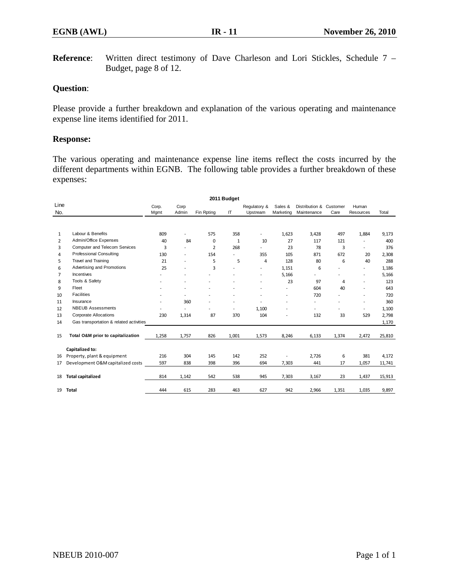**Reference**: Written direct testimony of Dave Charleson and Lori Stickles, Schedule 7 – Budget, page 8 of 12.

#### **Question**:

Please provide a further breakdown and explanation of the various operating and maintenance expense line items identified for 2011.

#### **Response:**

The various operating and maintenance expense line items reflect the costs incurred by the different departments within EGNB. The following table provides a further breakdown of these expenses:

|                | 2011 Budget                             |       |                          |            |              |                          |           |                          |       |                          |        |
|----------------|-----------------------------------------|-------|--------------------------|------------|--------------|--------------------------|-----------|--------------------------|-------|--------------------------|--------|
| Line           |                                         | Corp. | Corp                     |            |              | Regulatory &             | Sales &   | Distribution & Customer  |       | Human                    |        |
| No.            |                                         | Mgmt  | Admin                    | Fin Rpting | IT           | Upstream                 | Marketing | Maintenance              | Care  | Resources                | Total  |
|                |                                         |       |                          |            |              |                          |           |                          |       |                          |        |
| $\mathbf{1}$   | Labour & Benefits                       | 809   | $\overline{a}$           | 575        | 358          | $\overline{\phantom{a}}$ | 1,623     | 3,428                    | 497   | 1,884                    | 9,173  |
| $\overline{2}$ | Admin/Office Expenses                   | 40    | 84                       | 0          | $\mathbf{1}$ | 10                       | 27        | 117                      | 121   |                          | 400    |
| 3              | <b>Computer and Telecom Services</b>    | 3     | ۰                        | 2          | 268          |                          | 23        | 78                       | 3     |                          | 376    |
| 4              | <b>Professional Consulting</b>          | 130   | ٠                        | 154        |              | 355                      | 105       | 871                      | 672   | 20                       | 2,308  |
| 5              | Travel and Training                     | 21    | ÷,                       | 5          | 5            | $\overline{4}$           | 128       | 80                       | 6     | 40                       | 288    |
| 6              | Advertising and Promotions              | 25    | ÷,                       | 3          |              | ٠                        | 1,151     | 6                        |       |                          | 1,186  |
| $\overline{7}$ | Incentives                              |       | ۰                        |            |              | ٠                        | 5,166     | $\overline{\phantom{a}}$ |       | $\overline{\phantom{a}}$ | 5,166  |
| 8              | Tools & Safety                          |       | -                        |            |              | ٠                        | 23        | 97                       | 4     | $\overline{\phantom{a}}$ | 123    |
| 9              | Fleet                                   |       | ÷,                       |            |              |                          | ۰         | 604                      | 40    |                          | 643    |
| 10             | <b>Facilities</b>                       |       | ۰                        |            |              |                          | ٠         | 720                      |       |                          | 720    |
| 11             | Insurance                               |       | 360                      |            |              |                          | ÷,        |                          |       |                          | 360    |
| 12             | <b>NBEUB Assessments</b>                |       | $\overline{\phantom{0}}$ |            | ٠            | 1,100                    | ٠         |                          |       | $\overline{a}$           | 1,100  |
| 13             | <b>Corporate Allocations</b>            | 230   | 1,314                    | 87         | 370          | 104                      | ۰         | 132                      | 33    | 529                      | 2,798  |
| 14             | Gas transportation & related activities |       |                          |            |              |                          |           |                          |       |                          | 1,170  |
| 15             | Total O&M prior to capitalization       | 1,258 | 1,757                    | 826        | 1,001        | 1,573                    | 8,246     | 6,133                    | 1,374 | 2,472                    | 25,810 |
|                | Capitalized to:                         |       |                          |            |              |                          |           |                          |       |                          |        |
| 16             | Property, plant & equipment             | 216   | 304                      | 145        | 142          | 252                      |           | 2,726                    | 6     | 381                      | 4,172  |
| 17             | Development O&M capitalized costs       | 597   | 838                      | 398        | 396          | 694                      | 7,303     | 441                      | 17    | 1,057                    | 11,741 |
| 18             | <b>Total capitalized</b>                | 814   | 1,142                    | 542        | 538          | 945                      | 7,303     | 3,167                    | 23    | 1,437                    | 15,913 |
| 19             | <b>Total</b>                            | 444   | 615                      | 283        | 463          | 627                      | 942       | 2,966                    | 1,351 | 1,035                    | 9,897  |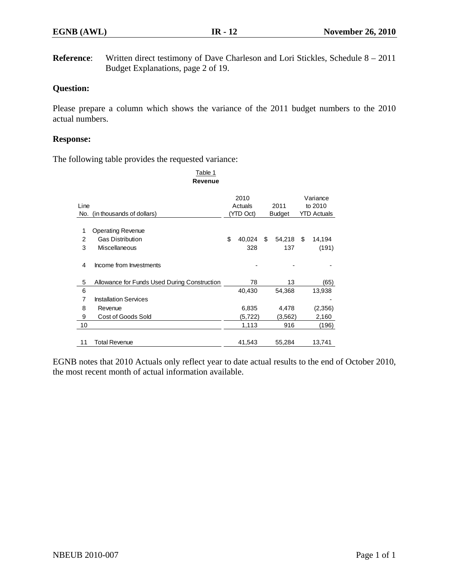**Reference:** Written direct testimony of Dave Charleson and Lori Stickles, Schedule 8 – 2011 Budget Explanations, page 2 of 19.

# **Question:**

Please prepare a column which shows the variance of the 2011 budget numbers to the 2010 actual numbers.

#### **Response:**

The following table provides the requested variance:

|                | Table 1<br>Revenue                           |    |           |    |               |         |                    |
|----------------|----------------------------------------------|----|-----------|----|---------------|---------|--------------------|
|                |                                              |    | 2010      |    |               |         | Variance           |
| Line           |                                              |    | Actuals   |    | 2011          | to 2010 |                    |
| No.            | (in thousands of dollars)                    |    | (YTD Oct) |    | <b>Budget</b> |         | <b>YTD Actuals</b> |
| 1              | <b>Operating Revenue</b>                     |    |           |    |               |         |                    |
| 2              | <b>Gas Distribution</b>                      | \$ | 40,024    | \$ | 54,218        | \$      | 14,194             |
| 3              | Miscellaneous                                |    | 328       |    | 137           |         | (191)              |
| 4              | Income from Investments                      |    |           |    |               |         |                    |
| 5              | Allowance for Funds Used During Construction |    | 78        |    | 13            |         | (65)               |
| 6              |                                              |    | 40,430    |    | 54,368        |         | 13,938             |
| $\overline{7}$ | <b>Installation Services</b>                 |    |           |    |               |         |                    |
| 8              | Revenue                                      |    | 6,835     |    | 4,478         |         | (2,356)            |
| 9              | Cost of Goods Sold                           |    | (5,722)   |    | (3, 562)      |         | 2,160              |
| 10             |                                              |    | 1,113     |    | 916           |         | (196)              |
| 11             | Total Revenue                                |    | 41,543    |    | 55,284        |         | 13,741             |

EGNB notes that 2010 Actuals only reflect year to date actual results to the end of October 2010, the most recent month of actual information available.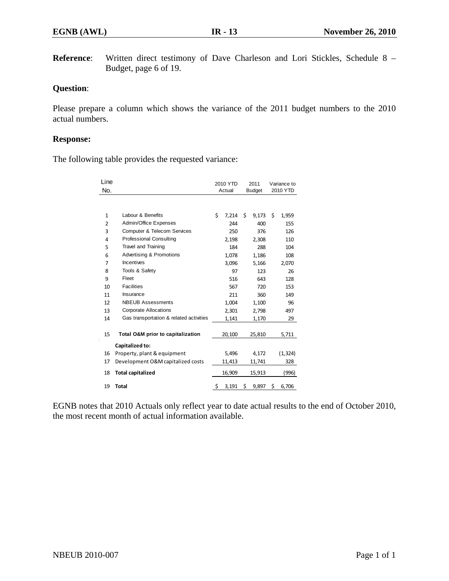**Reference**: Written direct testimony of Dave Charleson and Lori Stickles, Schedule 8 – Budget, page 6 of 19.

## **Question**:

Please prepare a column which shows the variance of the 2011 budget numbers to the 2010 actual numbers.

#### **Response:**

The following table provides the requested variance:

| Line           |                                         | 2010 YTD |        | 2011 |               | Variance to<br>2010 YTD |          |
|----------------|-----------------------------------------|----------|--------|------|---------------|-------------------------|----------|
| No.            |                                         |          | Actual |      | <b>Budget</b> |                         |          |
|                |                                         |          |        |      |               |                         |          |
| $\mathbf{1}$   | Labour & Benefits                       | \$       | 7,214  | Ś.   | 9,173         | Ś.                      | 1,959    |
| $\overline{2}$ | Admin/Office Expenses                   |          | 244    |      | 400           |                         | 155      |
| 3              | <b>Computer &amp; Telecom Services</b>  |          | 250    |      | 376           |                         | 126      |
| 4              | <b>Professional Consulting</b>          |          | 2,198  |      | 2,308         |                         | 110      |
| 5              | Travel and Training                     |          | 184    |      | 288           |                         | 104      |
| 6              | Advertising & Promotions                |          | 1,078  |      | 1,186         |                         | 108      |
| $\overline{7}$ | Incentives                              |          | 3,096  |      | 5,166         |                         | 2,070    |
| 8              | Tools & Safety                          |          | 97     |      | 123           |                         | 26       |
| 9              | Fleet                                   |          | 516    |      | 643           |                         | 128      |
| 10             | <b>Facilities</b>                       |          | 567    |      | 720           |                         | 153      |
| 11             | Insurance                               |          | 211    |      | 360           |                         | 149      |
| 12             | <b>NBEUB Assessments</b>                |          | 1,004  |      | 1,100         |                         | 96       |
| 13             | <b>Corporate Allocations</b>            |          | 2,301  |      | 2,798         |                         | 497      |
| 14             | Gas transportation & related activities |          | 1,141  |      | 1,170         |                         | 29       |
|                |                                         |          |        |      |               |                         |          |
| 15             | Total O&M prior to capitalization       |          | 20,100 |      | 25,810        |                         | 5,711    |
|                | Capitalized to:                         |          |        |      |               |                         |          |
| 16             | Property, plant & equipment             |          | 5,496  |      | 4,172         |                         | (1, 324) |
| 17             | Development O&M capitalized costs       |          | 11,413 |      | 11,741        |                         | 328      |
| 18             | <b>Total capitalized</b>                |          | 16,909 |      | 15,913        |                         | (996)    |
| 19             | <b>Total</b>                            | \$       | 3,191  | \$   | 9,897         | \$                      | 6,706    |
|                |                                         |          |        |      |               |                         |          |

EGNB notes that 2010 Actuals only reflect year to date actual results to the end of October 2010, the most recent month of actual information available.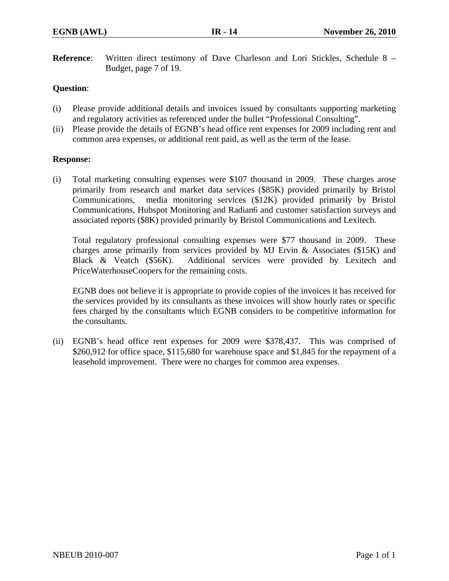**Reference**: Written direct testimony of Dave Charleson and Lori Stickles, Schedule 8 – Budget, page 7 of 19.

# **Question**:

- (i) Please provide additional details and invoices issued by consultants supporting marketing and regulatory activities as referenced under the bullet "Professional Consulting".
- (ii) Please provide the details of EGNB's head office rent expenses for 2009 including rent and common area expenses, or additional rent paid, as well as the term of the lease.

### **Response:**

(i) Total marketing consulting expenses were \$107 thousand in 2009. These charges arose primarily from research and market data services (\$85K) provided primarily by Bristol Communications, media monitoring services (\$12K) provided primarily by Bristol Communications, Hubspot Monitoring and Radian6 and customer satisfaction surveys and associated reports (\$8K) provided primarily by Bristol Communications and Lexitech.

Total regulatory professional consulting expenses were \$77 thousand in 2009. These charges arose primarily from services provided by MJ Ervin & Associates (\$15K) and Black & Veatch (\$56K). Additional services were provided by Lexitech and PriceWaterhouseCoopers for the remaining costs.

EGNB does not believe it is appropriate to provide copies of the invoices it has received for the services provided by its consultants as these invoices will show hourly rates or specific fees charged by the consultants which EGNB considers to be competitive information for the consultants.

(ii) EGNB's head office rent expenses for 2009 were \$378,437. This was comprised of \$260,912 for office space, \$115,680 for warehouse space and \$1,845 for the repayment of a leasehold improvement. There were no charges for common area expenses.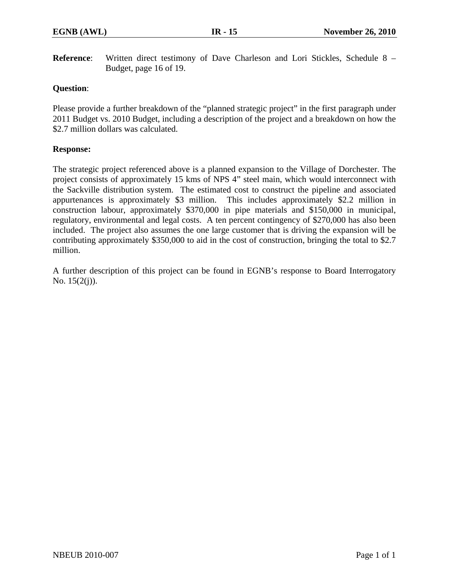**Reference**: Written direct testimony of Dave Charleson and Lori Stickles, Schedule 8 – Budget, page 16 of 19.

## **Question**:

Please provide a further breakdown of the "planned strategic project" in the first paragraph under 2011 Budget vs. 2010 Budget, including a description of the project and a breakdown on how the \$2.7 million dollars was calculated.

## **Response:**

The strategic project referenced above is a planned expansion to the Village of Dorchester. The project consists of approximately 15 kms of NPS 4" steel main, which would interconnect with the Sackville distribution system. The estimated cost to construct the pipeline and associated appurtenances is approximately \$3 million. This includes approximately \$2.2 million in construction labour, approximately \$370,000 in pipe materials and \$150,000 in municipal, regulatory, environmental and legal costs. A ten percent contingency of \$270,000 has also been included. The project also assumes the one large customer that is driving the expansion will be contributing approximately \$350,000 to aid in the cost of construction, bringing the total to \$2.7 million.

A further description of this project can be found in EGNB's response to Board Interrogatory No.  $15(2(j))$ .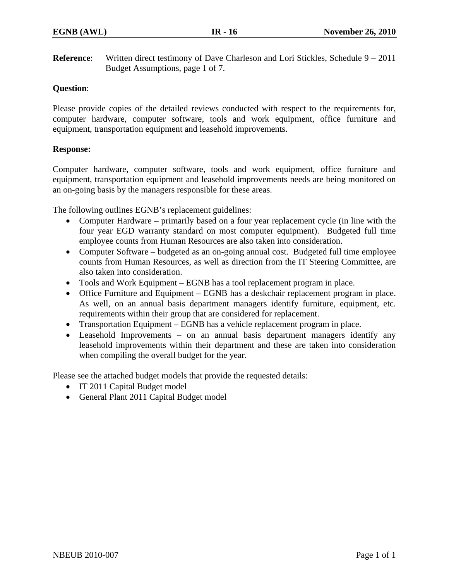**Reference:** Written direct testimony of Dave Charleson and Lori Stickles, Schedule 9 – 2011 Budget Assumptions, page 1 of 7.

# **Question**:

Please provide copies of the detailed reviews conducted with respect to the requirements for, computer hardware, computer software, tools and work equipment, office furniture and equipment, transportation equipment and leasehold improvements.

### **Response:**

Computer hardware, computer software, tools and work equipment, office furniture and equipment, transportation equipment and leasehold improvements needs are being monitored on an on-going basis by the managers responsible for these areas.

The following outlines EGNB's replacement guidelines:

- Computer Hardware primarily based on a four year replacement cycle (in line with the four year EGD warranty standard on most computer equipment). Budgeted full time employee counts from Human Resources are also taken into consideration.
- Computer Software budgeted as an on-going annual cost. Budgeted full time employee counts from Human Resources, as well as direction from the IT Steering Committee, are also taken into consideration.
- Tools and Work Equipment EGNB has a tool replacement program in place.
- Office Furniture and Equipment EGNB has a deskchair replacement program in place. As well, on an annual basis department managers identify furniture, equipment, etc. requirements within their group that are considered for replacement.
- Transportation Equipment EGNB has a vehicle replacement program in place.
- Leasehold Improvements on an annual basis department managers identify any leasehold improvements within their department and these are taken into consideration when compiling the overall budget for the year.

Please see the attached budget models that provide the requested details:

- IT 2011 Capital Budget model
- General Plant 2011 Capital Budget model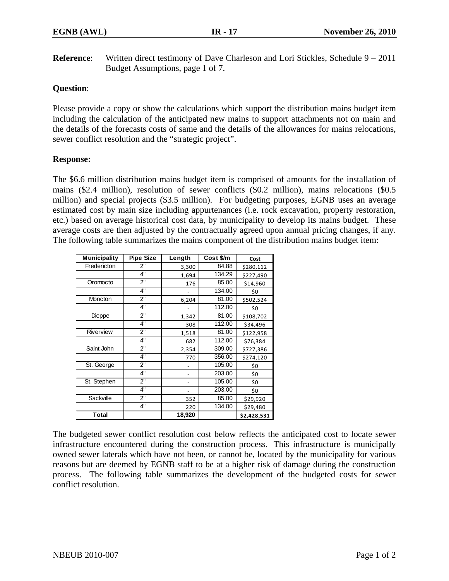**Reference:** Written direct testimony of Dave Charleson and Lori Stickles, Schedule 9 – 2011 Budget Assumptions, page 1 of 7.

# **Question**:

Please provide a copy or show the calculations which support the distribution mains budget item including the calculation of the anticipated new mains to support attachments not on main and the details of the forecasts costs of same and the details of the allowances for mains relocations, sewer conflict resolution and the "strategic project".

### **Response:**

The \$6.6 million distribution mains budget item is comprised of amounts for the installation of mains (\$2.4 million), resolution of sewer conflicts (\$0.2 million), mains relocations (\$0.5 million) and special projects (\$3.5 million). For budgeting purposes, EGNB uses an average estimated cost by main size including appurtenances (i.e. rock excavation, property restoration, etc.) based on average historical cost data, by municipality to develop its mains budget. These average costs are then adjusted by the contractually agreed upon annual pricing changes, if any. The following table summarizes the mains component of the distribution mains budget item:

| <b>Municipality</b> | <b>Pipe Size</b> | Length | Cost \$/m | Cost        |
|---------------------|------------------|--------|-----------|-------------|
| Fredericton         | 2"               | 3,300  | 84.88     | \$280,112   |
|                     | 4"               | 1,694  | 134.29    | \$227,490   |
| Oromocto            | 2"               | 176    | 85.00     | \$14,960    |
|                     | 4"               |        | 134.00    | \$0         |
| Moncton             | $2^{\circ}$      | 6,204  | 81.00     | \$502,524   |
|                     | 4"               |        | 112.00    | \$0         |
| Dieppe              | 2"               | 1,342  | 81.00     | \$108,702   |
|                     | 4"               | 308    | 112.00    | \$34,496    |
| Riverview           | 2"               | 1,518  | 81.00     | \$122,958   |
|                     | 4"               | 682    | 112.00    | \$76,384    |
| Saint John          | 2"               | 2,354  | 309.00    | \$727,386   |
|                     | 4"               | 770    | 356.00    | \$274,120   |
| St. George          | 2"               |        | 105.00    | \$0         |
|                     | 4"               |        | 203.00    | \$0         |
| St. Stephen         | 2"               |        | 105.00    | \$0         |
|                     | 4"               |        | 203.00    | \$0         |
| Sackville           | 2"               | 352    | 85.00     | \$29,920    |
|                     | 4"               | 220    | 134.00    | \$29,480    |
| <b>Total</b>        |                  | 18,920 |           | \$2,428,531 |

The budgeted sewer conflict resolution cost below reflects the anticipated cost to locate sewer infrastructure encountered during the construction process. This infrastructure is municipally owned sewer laterals which have not been, or cannot be, located by the municipality for various reasons but are deemed by EGNB staff to be at a higher risk of damage during the construction process. The following table summarizes the development of the budgeted costs for sewer conflict resolution.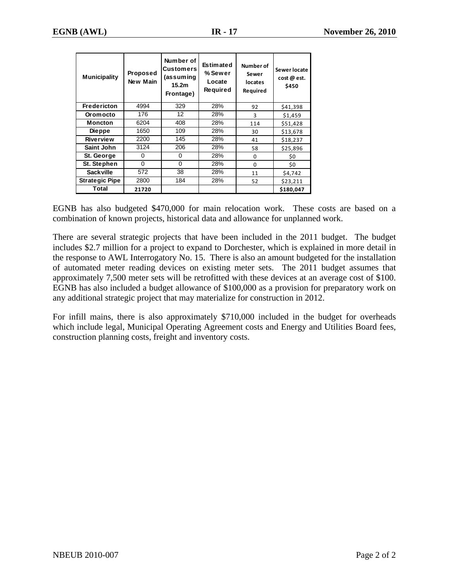| <b>Municipality</b>   | Proposed<br>New Main | Number of<br>Customers<br>(assuming<br>15.2 <sub>m</sub><br>Frontage) | <b>Estimated</b><br>% Sewer<br>Locate<br>Required | Number of<br>Sewer<br>locates<br>Required | Sewer locate<br>cost @ est.<br>\$450 |
|-----------------------|----------------------|-----------------------------------------------------------------------|---------------------------------------------------|-------------------------------------------|--------------------------------------|
| <b>Fredericton</b>    | 4994                 |                                                                       | 28%                                               | 92                                        | \$41,398                             |
| 176<br>Oromocto       |                      | 12                                                                    | 28%                                               | 3                                         | \$1,459                              |
| <b>Moncton</b>        | 6204                 | 408                                                                   | 28%                                               | 114                                       | \$51,428                             |
| <b>Dieppe</b>         | 1650                 | 109                                                                   | 28%                                               | 30                                        | \$13,678                             |
| Riverview             | 2200                 | 145                                                                   | 28%                                               | 41                                        | \$18,237                             |
| Saint John            | 3124                 | 206                                                                   | 28%                                               | 58                                        | \$25,896                             |
| St. George            | 0                    | 0                                                                     | 28%                                               | 0                                         | \$0                                  |
| St. Stephen           | $\Omega$             | $\Omega$                                                              | 28%                                               | $\Omega$                                  | \$0                                  |
| <b>Sackville</b>      | 572                  | 38                                                                    | 28%                                               | 11                                        | \$4,742                              |
| <b>Strategic Pipe</b> | 2800                 | 184                                                                   | 28%                                               | 52                                        | \$23,211                             |
| Total                 | 21720                |                                                                       |                                                   |                                           | \$180,047                            |

EGNB has also budgeted \$470,000 for main relocation work. These costs are based on a combination of known projects, historical data and allowance for unplanned work.

There are several strategic projects that have been included in the 2011 budget. The budget includes \$2.7 million for a project to expand to Dorchester, which is explained in more detail in the response to AWL Interrogatory No. 15. There is also an amount budgeted for the installation of automated meter reading devices on existing meter sets. The 2011 budget assumes that approximately 7,500 meter sets will be retrofitted with these devices at an average cost of \$100. EGNB has also included a budget allowance of \$100,000 as a provision for preparatory work on any additional strategic project that may materialize for construction in 2012.

For infill mains, there is also approximately \$710,000 included in the budget for overheads which include legal, Municipal Operating Agreement costs and Energy and Utilities Board fees, construction planning costs, freight and inventory costs.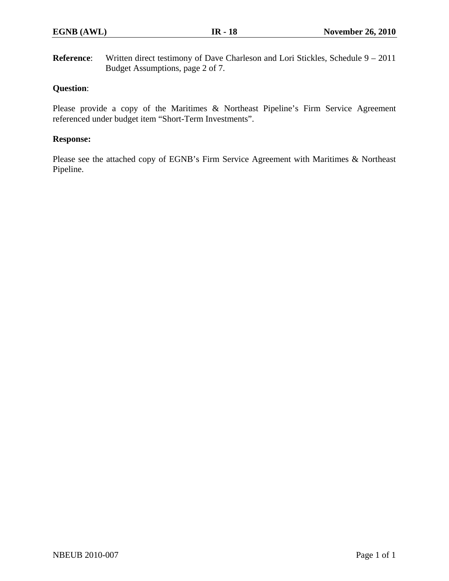**Reference:** Written direct testimony of Dave Charleson and Lori Stickles, Schedule 9 – 2011 Budget Assumptions, page 2 of 7.

# **Question**:

Please provide a copy of the Maritimes & Northeast Pipeline's Firm Service Agreement referenced under budget item "Short-Term Investments".

### **Response:**

Please see the attached copy of EGNB's Firm Service Agreement with Maritimes & Northeast Pipeline.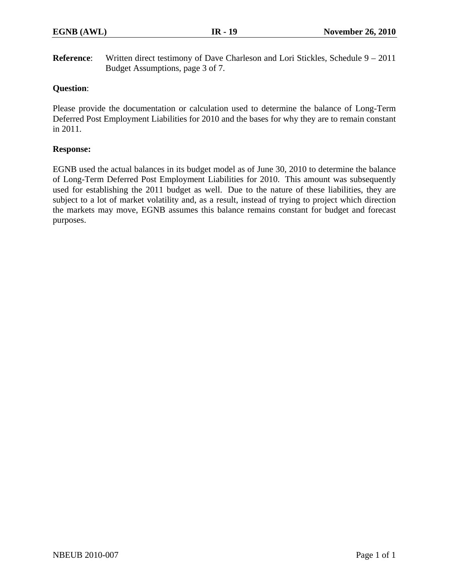**Reference:** Written direct testimony of Dave Charleson and Lori Stickles, Schedule 9 – 2011 Budget Assumptions, page 3 of 7.

# **Question**:

Please provide the documentation or calculation used to determine the balance of Long-Term Deferred Post Employment Liabilities for 2010 and the bases for why they are to remain constant in 2011.

### **Response:**

EGNB used the actual balances in its budget model as of June 30, 2010 to determine the balance of Long-Term Deferred Post Employment Liabilities for 2010. This amount was subsequently used for establishing the 2011 budget as well. Due to the nature of these liabilities, they are subject to a lot of market volatility and, as a result, instead of trying to project which direction the markets may move, EGNB assumes this balance remains constant for budget and forecast purposes.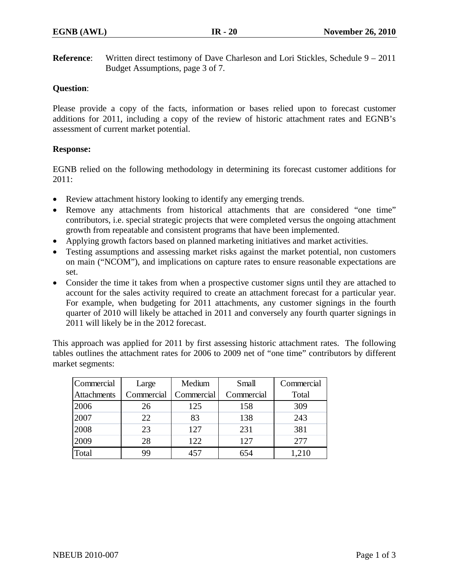**Reference:** Written direct testimony of Dave Charleson and Lori Stickles, Schedule 9 – 2011 Budget Assumptions, page 3 of 7.

# **Question**:

Please provide a copy of the facts, information or bases relied upon to forecast customer additions for 2011, including a copy of the review of historic attachment rates and EGNB's assessment of current market potential.

# **Response:**

EGNB relied on the following methodology in determining its forecast customer additions for 2011:

- Review attachment history looking to identify any emerging trends.
- Remove any attachments from historical attachments that are considered "one time" contributors, i.e. special strategic projects that were completed versus the ongoing attachment growth from repeatable and consistent programs that have been implemented.
- Applying growth factors based on planned marketing initiatives and market activities.
- Testing assumptions and assessing market risks against the market potential, non customers on main ("NCOM"), and implications on capture rates to ensure reasonable expectations are set.
- Consider the time it takes from when a prospective customer signs until they are attached to account for the sales activity required to create an attachment forecast for a particular year. For example, when budgeting for 2011 attachments, any customer signings in the fourth quarter of 2010 will likely be attached in 2011 and conversely any fourth quarter signings in 2011 will likely be in the 2012 forecast.

This approach was applied for 2011 by first assessing historic attachment rates. The following tables outlines the attachment rates for 2006 to 2009 net of "one time" contributors by different market segments:

| Commercial         | Large      | Medium     | Small      | Commercial |
|--------------------|------------|------------|------------|------------|
| <b>Attachments</b> | Commercial | Commercial | Commercial | Total      |
| 2006               | 26         | 125        | 158        | 309        |
| 2007               | 22         | 83         | 138        | 243        |
| 2008               | 23         | 127        | 231        | 381        |
| 2009               | 28         | 122        | 127        | 277        |
| Total              | 99         | 457        | 654        | .210       |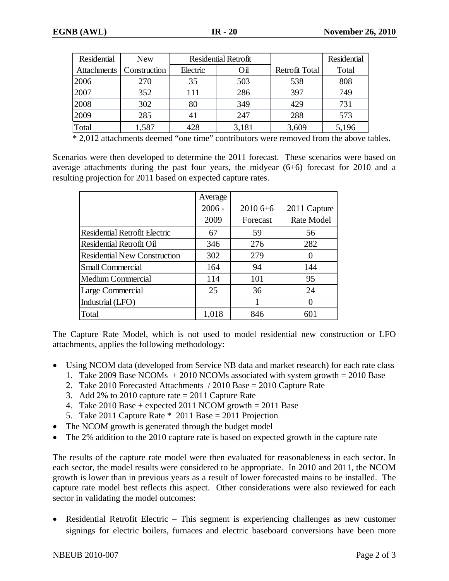| <b>Residential</b> | <b>New</b>   |                 | <b>Residential Retrofit</b> |                       | <b>Residential</b> |
|--------------------|--------------|-----------------|-----------------------------|-----------------------|--------------------|
| <b>Attachments</b> | Construction | Electric<br>Oil |                             | <b>Retrofit Total</b> | Total              |
| 2006               | 270          | 35              | 503                         | 538                   | 808                |
| 2007               | 352          | 111             | 286                         | 397                   | 749                |
| 2008               | 302          | 80              | 349                         | 429                   | 731                |
| 2009               | 285          | 41              | 247                         | 288                   | 573                |
| Total              | 1,587        | 428             | 3,181                       | 3,609                 | 5,196              |

\* 2,012 attachments deemed "one time" contributors were removed from the above tables.

Scenarios were then developed to determine the 2011 forecast. These scenarios were based on average attachments during the past four years, the midyear (6+6) forecast for 2010 and a resulting projection for 2011 based on expected capture rates.

|                                      | Average  |           |              |
|--------------------------------------|----------|-----------|--------------|
|                                      | $2006 -$ | $20106+6$ | 2011 Capture |
|                                      | 2009     | Forecast  | Rate Model   |
| <b>Residential Retrofit Electric</b> | 67       | 59        | 56           |
| <b>Residential Retrofit Oil</b>      | 346      | 276       | 282          |
| <b>Residential New Construction</b>  | 302      | 279       | $\theta$     |
| Small Commercial                     | 164      | 94        | 144          |
| Medium Commercial                    | 114      | 101       | 95           |
| Large Commercial                     | 25       | 36        | 24           |
| Industrial (LFO)                     |          |           |              |
| Total                                | 1,018    | 846       | 601          |

The Capture Rate Model, which is not used to model residential new construction or LFO attachments, applies the following methodology:

- Using NCOM data (developed from Service NB data and market research) for each rate class
	- 1. Take 2009 Base NCOMs  $+ 2010$  NCOMs associated with system growth = 2010 Base
	- 2. Take 2010 Forecasted Attachments / 2010 Base = 2010 Capture Rate
	- 3. Add 2% to 2010 capture rate  $= 2011$  Capture Rate
	- 4. Take  $2010$  Base + expected  $2011$  NCOM growth =  $2011$  Base
	- 5. Take 2011 Capture Rate \* 2011 Base = 2011 Projection
- The NCOM growth is generated through the budget model
- The 2% addition to the 2010 capture rate is based on expected growth in the capture rate

The results of the capture rate model were then evaluated for reasonableness in each sector. In each sector, the model results were considered to be appropriate. In 2010 and 2011, the NCOM growth is lower than in previous years as a result of lower forecasted mains to be installed. The capture rate model best reflects this aspect. Other considerations were also reviewed for each sector in validating the model outcomes:

• Residential Retrofit Electric – This segment is experiencing challenges as new customer signings for electric boilers, furnaces and electric baseboard conversions have been more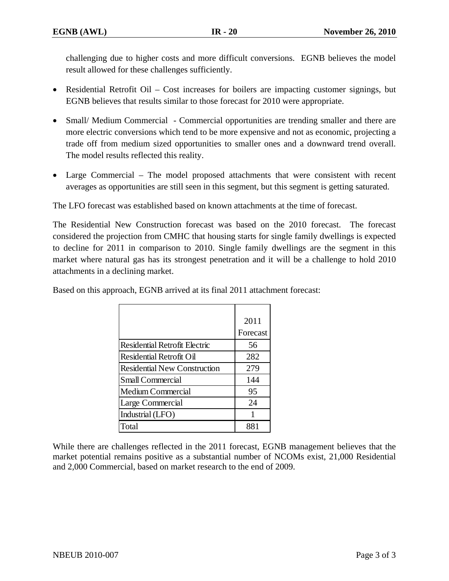challenging due to higher costs and more difficult conversions. EGNB believes the model result allowed for these challenges sufficiently.

- Residential Retrofit Oil Cost increases for boilers are impacting customer signings, but EGNB believes that results similar to those forecast for 2010 were appropriate.
- Small/ Medium Commercial Commercial opportunities are trending smaller and there are more electric conversions which tend to be more expensive and not as economic, projecting a trade off from medium sized opportunities to smaller ones and a downward trend overall. The model results reflected this reality.
- Large Commercial The model proposed attachments that were consistent with recent averages as opportunities are still seen in this segment, but this segment is getting saturated.

The LFO forecast was established based on known attachments at the time of forecast.

The Residential New Construction forecast was based on the 2010 forecast. The forecast considered the projection from CMHC that housing starts for single family dwellings is expected to decline for 2011 in comparison to 2010. Single family dwellings are the segment in this market where natural gas has its strongest penetration and it will be a challenge to hold 2010 attachments in a declining market.

Based on this approach, EGNB arrived at its final 2011 attachment forecast:

|                                      | 2011     |
|--------------------------------------|----------|
|                                      | Forecast |
| <b>Residential Retrofit Electric</b> | 56       |
| Residential Retrofit Oil             | 282      |
| <b>Residential New Construction</b>  | 279      |
| <b>Small Commercial</b>              | 144      |
| <b>Medium Commercial</b>             | 95       |
| Large Commercial                     | 24       |
| Industrial (LFO)                     |          |
| Total                                |          |

While there are challenges reflected in the 2011 forecast, EGNB management believes that the market potential remains positive as a substantial number of NCOMs exist, 21,000 Residential and 2,000 Commercial, based on market research to the end of 2009.